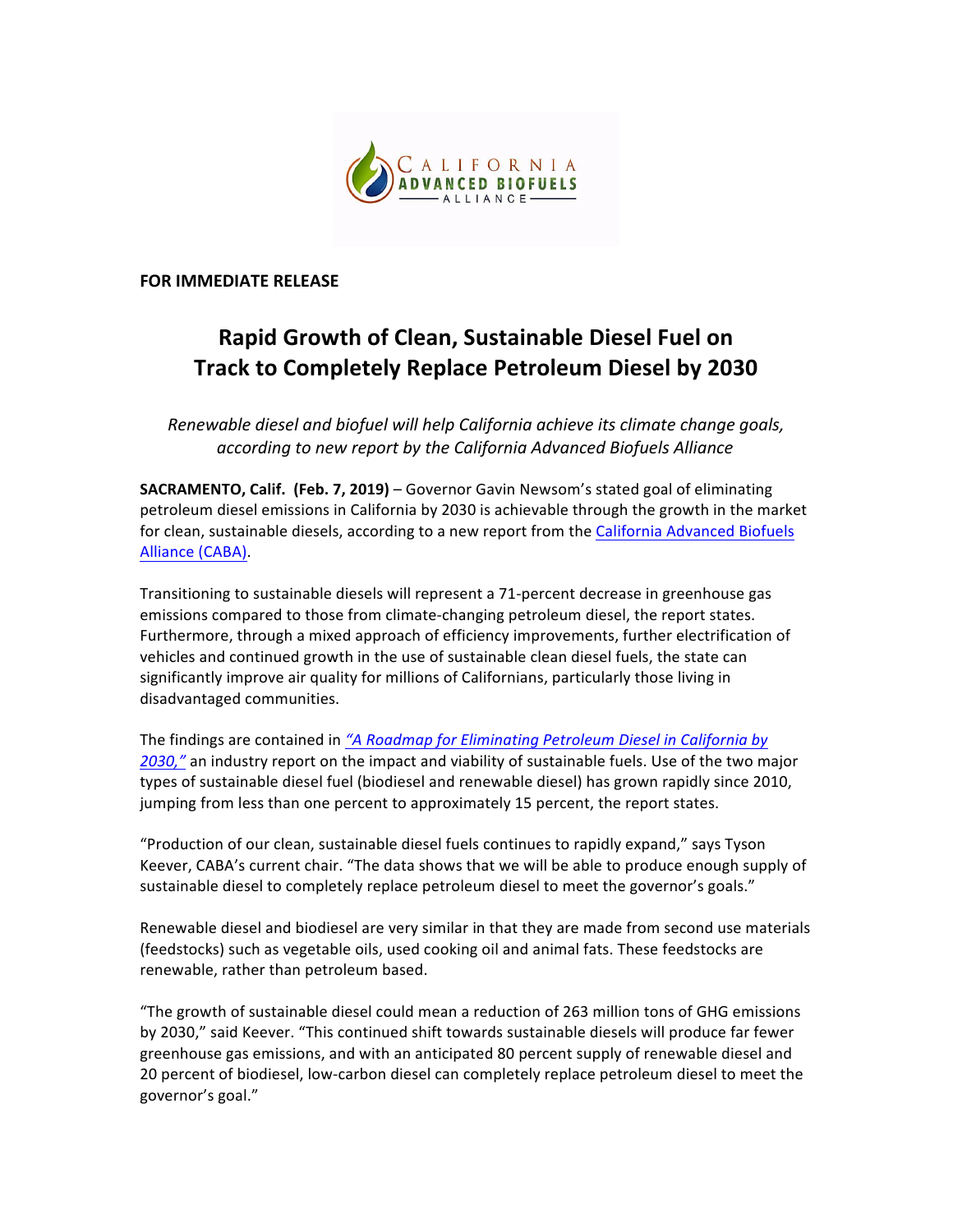

**FOR IMMEDIATE RELEASE** 

## **Rapid Growth of Clean, Sustainable Diesel Fuel on Track to Completely Replace Petroleum Diesel by 2030**

*Renewable diesel and biofuel will help California achieve its climate change goals,*  according to new report by the California Advanced Biofuels Alliance

**SACRAMENTO, Calif.** (Feb. 7, 2019) – Governor Gavin Newsom's stated goal of eliminating petroleum diesel emissions in California by 2030 is achievable through the growth in the market for clean, sustainable diesels, according to a new report from the California Advanced Biofuels Alliance (CABA). 

Transitioning to sustainable diesels will represent a 71-percent decrease in greenhouse gas emissions compared to those from climate-changing petroleum diesel, the report states. Furthermore, through a mixed approach of efficiency improvements, further electrification of vehicles and continued growth in the use of sustainable clean diesel fuels, the state can significantly improve air quality for millions of Californians, particularly those living in disadvantaged communities.

The findings are contained in *"A Roadmap for Eliminating Petroleum Diesel in California by* 2030," an industry report on the impact and viability of sustainable fuels. Use of the two major types of sustainable diesel fuel (biodiesel and renewable diesel) has grown rapidly since 2010, jumping from less than one percent to approximately 15 percent, the report states.

"Production of our clean, sustainable diesel fuels continues to rapidly expand," says Tyson Keever, CABA's current chair. "The data shows that we will be able to produce enough supply of sustainable diesel to completely replace petroleum diesel to meet the governor's goals."

Renewable diesel and biodiesel are very similar in that they are made from second use materials (feedstocks) such as vegetable oils, used cooking oil and animal fats. These feedstocks are renewable, rather than petroleum based.

"The growth of sustainable diesel could mean a reduction of 263 million tons of GHG emissions by 2030," said Keever. "This continued shift towards sustainable diesels will produce far fewer greenhouse gas emissions, and with an anticipated 80 percent supply of renewable diesel and 20 percent of biodiesel, low-carbon diesel can completely replace petroleum diesel to meet the governor's goal."